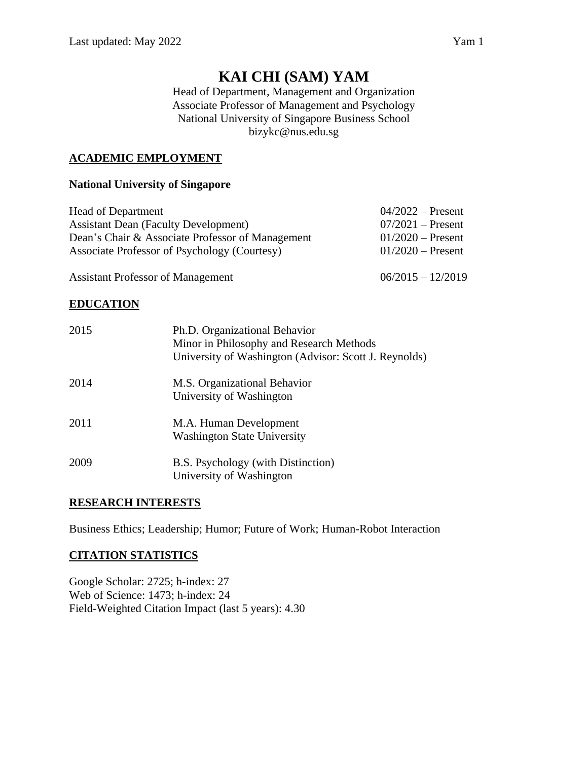# **KAI CHI (SAM) YAM**

Head of Department, Management and Organization Associate Professor of Management and Psychology National University of Singapore Business School bizykc@nus.edu.sg

# **ACADEMIC EMPLOYMENT**

## **National University of Singapore**

| <b>Head of Department</b>                        | $04/2022$ – Present |
|--------------------------------------------------|---------------------|
| <b>Assistant Dean (Faculty Development)</b>      | $07/2021$ – Present |
| Dean's Chair & Associate Professor of Management | $01/2020$ – Present |
| Associate Professor of Psychology (Courtesy)     | $01/2020$ – Present |
|                                                  |                     |

Assistant Professor of Management 06/2015 – 12/2019

# **EDUCATION**

| 2015 | Ph.D. Organizational Behavior<br>Minor in Philosophy and Research Methods<br>University of Washington (Advisor: Scott J. Reynolds) |
|------|------------------------------------------------------------------------------------------------------------------------------------|
| 2014 | M.S. Organizational Behavior<br>University of Washington                                                                           |
| 2011 | M.A. Human Development<br><b>Washington State University</b>                                                                       |
| 2009 | B.S. Psychology (with Distinction)<br>University of Washington                                                                     |

# **RESEARCH INTERESTS**

Business Ethics; Leadership; Humor; Future of Work; Human-Robot Interaction

# **CITATION STATISTICS**

Google Scholar: 2725; h-index: 27 Web of Science: 1473; h-index: 24 Field-Weighted Citation Impact (last 5 years): 4.30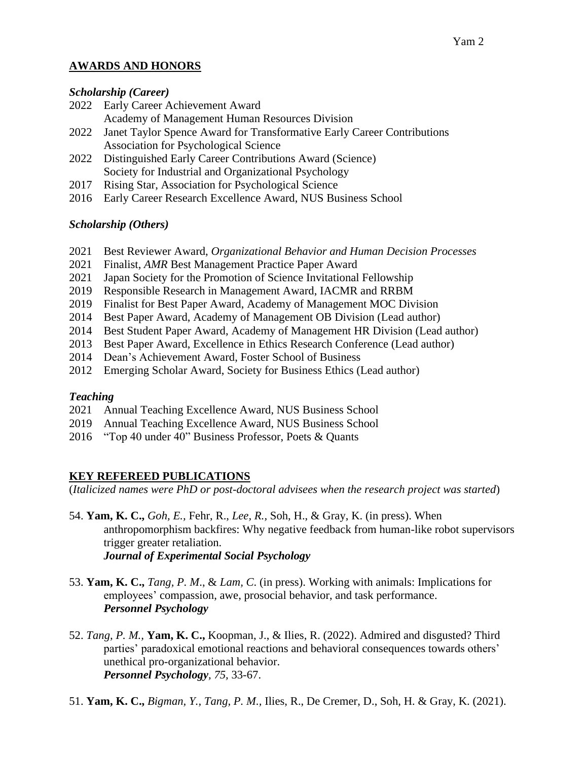# **AWARDS AND HONORS**

#### *Scholarship (Career)*

- 2022 Early Career Achievement Award
	- Academy of Management Human Resources Division
- 2022 Janet Taylor Spence Award for Transformative Early Career Contributions Association for Psychological Science
- 2022 Distinguished Early Career Contributions Award (Science) Society for Industrial and Organizational Psychology
- 2017 Rising Star, Association for Psychological Science
- 2016 Early Career Research Excellence Award, NUS Business School

# *Scholarship (Others)*

- 2021 Best Reviewer Award, *Organizational Behavior and Human Decision Processes*
- 2021 Finalist, *AMR* Best Management Practice Paper Award
- 2021 Japan Society for the Promotion of Science Invitational Fellowship
- 2019 Responsible Research in Management Award, IACMR and RRBM
- 2019 Finalist for Best Paper Award, Academy of Management MOC Division
- 2014 Best Paper Award, Academy of Management OB Division (Lead author)
- 2014 Best Student Paper Award, Academy of Management HR Division (Lead author)
- 2013 Best Paper Award, Excellence in Ethics Research Conference (Lead author)
- 2014 Dean's Achievement Award, Foster School of Business
- 2012 Emerging Scholar Award, Society for Business Ethics (Lead author)

# *Teaching*

- 2021 Annual Teaching Excellence Award, NUS Business School
- 2019 Annual Teaching Excellence Award, NUS Business School
- 2016 "Top 40 under 40" Business Professor, Poets & Quants

# **KEY REFEREED PUBLICATIONS**

(*Italicized names were PhD or post-doctoral advisees when the research project was started*)

- 54. **Yam, K. C.,** *Goh, E.,* Fehr, R., *Lee, R.,* Soh, H., & Gray, K. (in press). When anthropomorphism backfires: Why negative feedback from human-like robot supervisors trigger greater retaliation. *Journal of Experimental Social Psychology*
- 53. **Yam, K. C.,** *Tang, P. M*., & *Lam, C*. (in press). Working with animals: Implications for employees' compassion, awe, prosocial behavior, and task performance. *Personnel Psychology*
- 52. *Tang, P. M.,* **Yam, K. C.,** Koopman, J., & Ilies, R. (2022). Admired and disgusted? Third parties' paradoxical emotional reactions and behavioral consequences towards others' unethical pro-organizational behavior. *Personnel Psychology, 75,* 33-67.
- 51. **Yam, K. C.,** *Bigman, Y., Tang, P. M.,* Ilies, R., De Cremer, D., Soh, H. & Gray, K. (2021).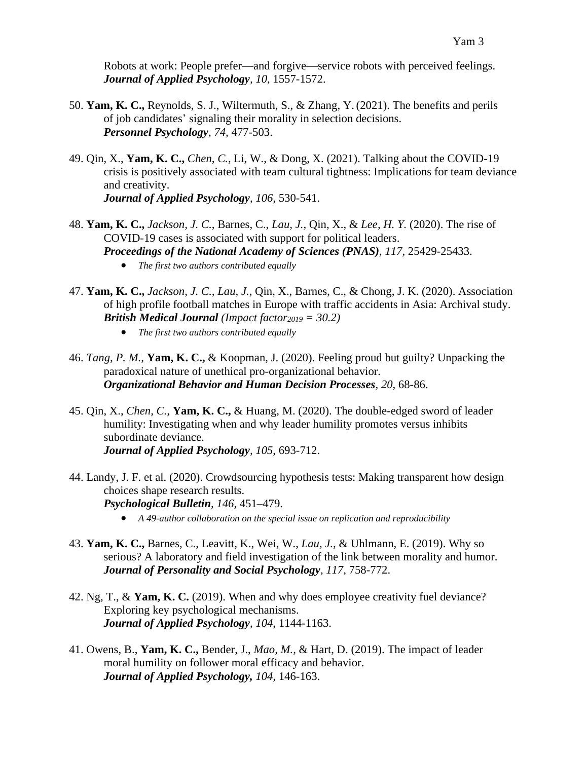Robots at work: People prefer—and forgive—service robots with perceived feelings. *Journal of Applied Psychology, 10,* 1557-1572.

- 50. **Yam, K. C.,** Reynolds, S. J., Wiltermuth, S., & Zhang, Y.(2021). The benefits and perils of job candidates' signaling their morality in selection decisions. *Personnel Psychology, 74,* 477-503.
- 49. Qin, X., **Yam, K. C.,** *Chen, C.,* Li, W., & Dong, X. (2021). Talking about the COVID-19 crisis is positively associated with team cultural tightness: Implications for team deviance and creativity. *Journal of Applied Psychology, 106,* 530-541.
- 48. **Yam, K. C.,** *Jackson, J. C.,* Barnes, C., *Lau, J.,* Qin, X., & *Lee, H. Y.* (2020). The rise of COVID-19 cases is associated with support for political leaders. *Proceedings of the National Academy of Sciences (PNAS), 117,* 25429-25433.
	- *The first two authors contributed equally*
- 47. **Yam, K. C.,** *Jackson, J. C., Lau, J.,* Qin, X., Barnes, C., & Chong, J. K. (2020). Association of high profile football matches in Europe with traffic accidents in Asia: Archival study. *British Medical Journal (Impact factor<sup>2019</sup> = 30.2)*
	- *The first two authors contributed equally*
- 46. *Tang, P. M.,* **Yam, K. C.,** & Koopman, J. (2020). Feeling proud but guilty? Unpacking the paradoxical nature of unethical pro-organizational behavior. *Organizational Behavior and Human Decision Processes, 20,* 68-86.
- 45. Qin, X., *Chen, C.,* **Yam, K. C.,** & Huang, M. (2020). The double-edged sword of leader humility: Investigating when and why leader humility promotes versus inhibits subordinate deviance. *Journal of Applied Psychology, 105*, 693-712.
- 44. Landy, J. F. et al. (2020). Crowdsourcing hypothesis tests: Making transparent how design choices shape research results. *Psychological Bulletin, 146,* 451–479.
	- *A 49-author collaboration on the special issue on replication and reproducibility*
- 43. **Yam, K. C.,** Barnes, C., Leavitt, K., Wei, W., *Lau, J.,* & Uhlmann, E. (2019). Why so serious? A laboratory and field investigation of the link between morality and humor. *Journal of Personality and Social Psychology, 117,* 758-772.
- 42. Ng, T., & **Yam, K. C.** (2019). When and why does employee creativity fuel deviance? Exploring key psychological mechanisms. *Journal of Applied Psychology, 104*, 1144-1163.
- 41. Owens, B., **Yam, K. C.,** Bender, J., *Mao, M.,* & Hart, D. (2019). The impact of leader moral humility on follower moral efficacy and behavior. *Journal of Applied Psychology, 104,* 146-163.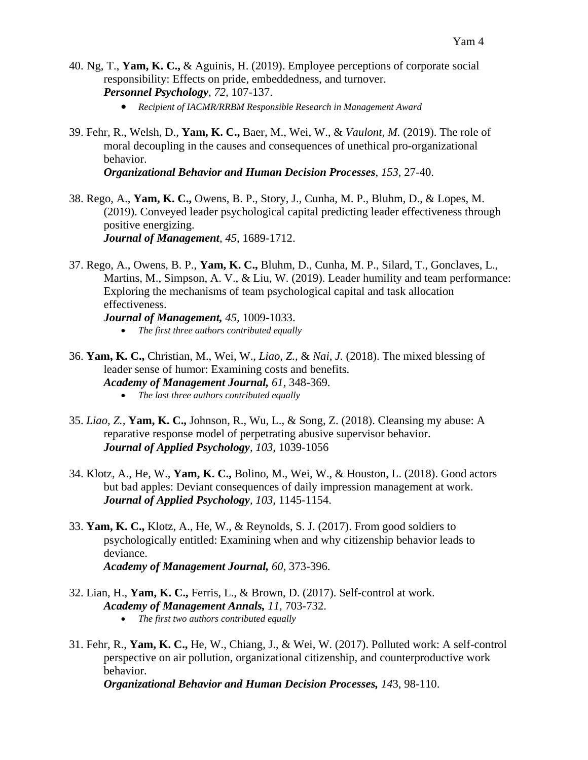- 40. Ng, T., **Yam, K. C.,** & Aguinis, H. (2019). Employee perceptions of corporate social responsibility: Effects on pride, embeddedness, and turnover. *Personnel Psychology*, *72,* 107-137.
	- *Recipient of IACMR/RRBM Responsible Research in Management Award*
- 39. Fehr, R., Welsh, D., **Yam, K. C.,** Baer, M., Wei, W., & *Vaulont, M.* (2019). The role of moral decoupling in the causes and consequences of unethical pro-organizational behavior.

*Organizational Behavior and Human Decision Processes*, *153*, 27-40.

- 38. Rego, A., **Yam, K. C.,** Owens, B. P., Story, J., Cunha, M. P., Bluhm, D., & Lopes, M. (2019). Conveyed leader psychological capital predicting leader effectiveness through positive energizing. *Journal of Management, 45,* 1689-1712.
- 37. Rego, A., Owens, B. P., **Yam, K. C.,** Bluhm, D., Cunha, M. P., Silard, T., Gonclaves, L., Martins, M., Simpson, A. V., & Liu, W. (2019). Leader humility and team performance: Exploring the mechanisms of team psychological capital and task allocation effectiveness.

*Journal of Management, 45,* 1009-1033. • *The first three authors contributed equally*

- 36. **Yam, K. C.,** Christian, M., Wei, W., *Liao, Z.,* & *Nai, J.* (2018). The mixed blessing of leader sense of humor: Examining costs and benefits. *Academy of Management Journal, 61,* 348-369.
	- *The last three authors contributed equally*
- 35. *Liao, Z.,* **Yam, K. C.,** Johnson, R., Wu, L., & Song, Z. (2018). Cleansing my abuse: A reparative response model of perpetrating abusive supervisor behavior. *Journal of Applied Psychology, 103,* 1039-1056
- 34. Klotz, A., He, W., **Yam, K. C.,** Bolino, M., Wei, W., & Houston, L. (2018). Good actors but bad apples: Deviant consequences of daily impression management at work. *Journal of Applied Psychology, 103,* 1145-1154.
- 33. **Yam, K. C.,** Klotz, A., He, W., & Reynolds, S. J. (2017). From good soldiers to psychologically entitled: Examining when and why citizenship behavior leads to deviance. *Academy of Management Journal, 60*, 373-396.
- 32. Lian, H., **Yam, K. C.,** Ferris, L., & Brown, D. (2017). Self-control at work. *Academy of Management Annals, 11,* 703-732.
	- *The first two authors contributed equally*
- 31. Fehr, R., **Yam, K. C.,** He, W., Chiang, J., & Wei, W. (2017). Polluted work: A self-control perspective on air pollution, organizational citizenship, and counterproductive work behavior.

*Organizational Behavior and Human Decision Processes, 14*3, 98-110.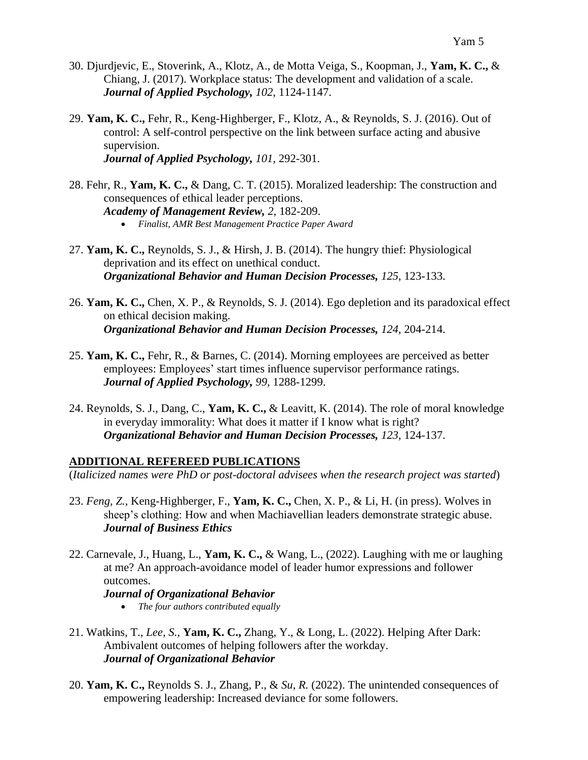- 30. Djurdjevic, E., Stoverink, A., Klotz, A., de Motta Veiga, S., Koopman, J., **Yam, K. C.,** & Chiang, J. (2017). Workplace status: The development and validation of a scale. *Journal of Applied Psychology, 102*, 1124-1147.
- 29. **Yam, K. C.,** Fehr, R., Keng-Highberger, F., Klotz, A., & Reynolds, S. J. (2016). Out of control: A self-control perspective on the link between surface acting and abusive supervision. *Journal of Applied Psychology, 101,* 292-301.
- 28. Fehr, R., **Yam, K. C.,** & Dang, C. T. (2015). Moralized leadership: The construction and consequences of ethical leader perceptions. *Academy of Management Review, 2,* 182-209.
	- *Finalist, AMR Best Management Practice Paper Award*
- 27. **Yam, K. C.,** Reynolds, S. J., & Hirsh, J. B. (2014). The hungry thief: Physiological deprivation and its effect on unethical conduct. *Organizational Behavior and Human Decision Processes, 125,* 123-133.
- 26. **Yam, K. C.,** Chen, X. P., & Reynolds, S. J. (2014). Ego depletion and its paradoxical effect on ethical decision making. *Organizational Behavior and Human Decision Processes, 124,* 204-214.
- 25. **Yam, K. C.,** Fehr, R., & Barnes, C. (2014). Morning employees are perceived as better employees: Employees' start times influence supervisor performance ratings. *Journal of Applied Psychology, 99,* 1288-1299.
- 24. Reynolds, S. J., Dang, C., **Yam, K. C.,** & Leavitt, K. (2014). The role of moral knowledge in everyday immorality: What does it matter if I know what is right? *Organizational Behavior and Human Decision Processes, 123,* 124-137.

# **ADDITIONAL REFEREED PUBLICATIONS**

(*Italicized names were PhD or post-doctoral advisees when the research project was started*)

- 23. *Feng, Z.,* Keng-Highberger, F., **Yam, K. C.,** Chen, X. P., & Li, H. (in press). Wolves in sheep's clothing: How and when Machiavellian leaders demonstrate strategic abuse. *Journal of Business Ethics*
- 22. Carnevale, J., Huang, L., **Yam, K. C.,** & Wang, L., (2022). Laughing with me or laughing at me? An approach-avoidance model of leader humor expressions and follower outcomes.

# *Journal of Organizational Behavior*

- *The four authors contributed equally*
- 21. Watkins, T., *Lee, S.,* **Yam, K. C.,** Zhang, Y., & Long, L. (2022). Helping After Dark: Ambivalent outcomes of helping followers after the workday. *Journal of Organizational Behavior*
- 20. **Yam, K. C.,** Reynolds S. J., Zhang, P., & *Su, R.* (2022). The unintended consequences of empowering leadership: Increased deviance for some followers.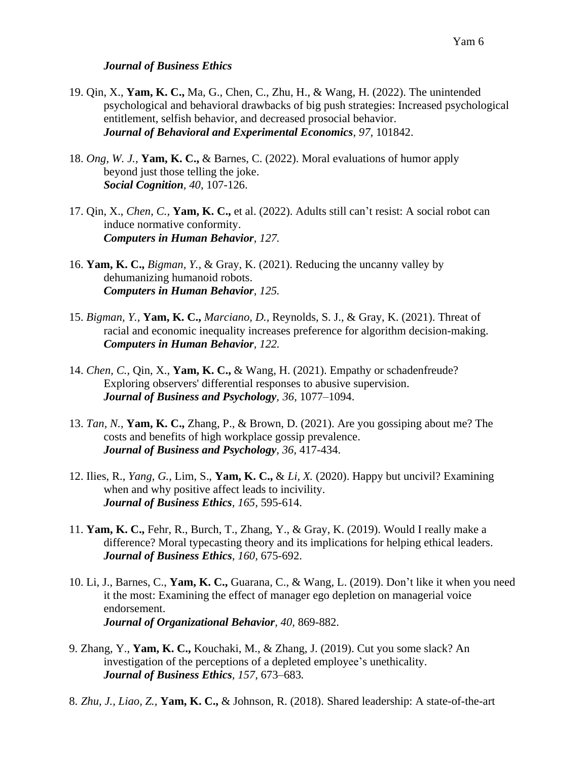#### *Journal of Business Ethics*

- 19. Qin, X., **Yam, K. C.,** Ma, G., Chen, C., Zhu, H., & Wang, H. (2022). The unintended psychological and behavioral drawbacks of big push strategies: Increased psychological entitlement, selfish behavior, and decreased prosocial behavior. *Journal of Behavioral and Experimental Economics, 97,* 101842.
- 18. *Ong, W. J.,* **Yam, K. C.,** & Barnes, C. (2022). Moral evaluations of humor apply beyond just those telling the joke. *Social Cognition, 40,* 107-126.
- 17. Qin, X., *Chen, C.,* **Yam, K. C.,** et al. (2022). Adults still can't resist: A social robot can induce normative conformity. *Computers in Human Behavior, 127.*
- 16. **Yam, K. C.,** *Bigman, Y.,* & Gray, K. (2021). Reducing the uncanny valley by dehumanizing humanoid robots. *Computers in Human Behavior, 125.*
- 15. *Bigman, Y.,* **Yam, K. C.,** *Marciano, D.,* Reynolds, S. J., & Gray, K. (2021). Threat of racial and economic inequality increases preference for algorithm decision-making. *Computers in Human Behavior, 122.*
- 14. *Chen, C.*, Qin, X., **Yam, K. C.,** & Wang, H. (2021). Empathy or schadenfreude? Exploring observers' differential responses to abusive supervision. *Journal of Business and Psychology, 36,* 1077–1094.
- 13. *Tan, N.,* **Yam, K. C.,** Zhang, P., & Brown, D. (2021). Are you gossiping about me? The costs and benefits of high workplace gossip prevalence. *Journal of Business and Psychology, 36,* 417-434.
- 12. Ilies, R., *Yang, G.,* Lim, S., **Yam, K. C.,** & *Li, X.* (2020). Happy but uncivil? Examining when and why positive affect leads to incivility. *Journal of Business Ethics, 165,* 595-614.
- 11. **Yam, K. C.,** Fehr, R., Burch, T., Zhang, Y., & Gray, K. (2019). Would I really make a difference? Moral typecasting theory and its implications for helping ethical leaders. *Journal of Business Ethics, 160,* 675-692.
- 10. Li, J., Barnes, C., **Yam, K. C.,** Guarana, C., & Wang, L. (2019). Don't like it when you need it the most: Examining the effect of manager ego depletion on managerial voice endorsement. *Journal of Organizational Behavior, 40,* 869-882.
- 9. Zhang, Y., **Yam, K. C.,** Kouchaki, M., & Zhang, J. (2019). Cut you some slack? An investigation of the perceptions of a depleted employee's unethicality. *Journal of Business Ethics, 157,* 673–683*.*
- 8. *Zhu, J., Liao, Z.,* **Yam, K. C.,** & Johnson, R. (2018). Shared leadership: A state-of-the-art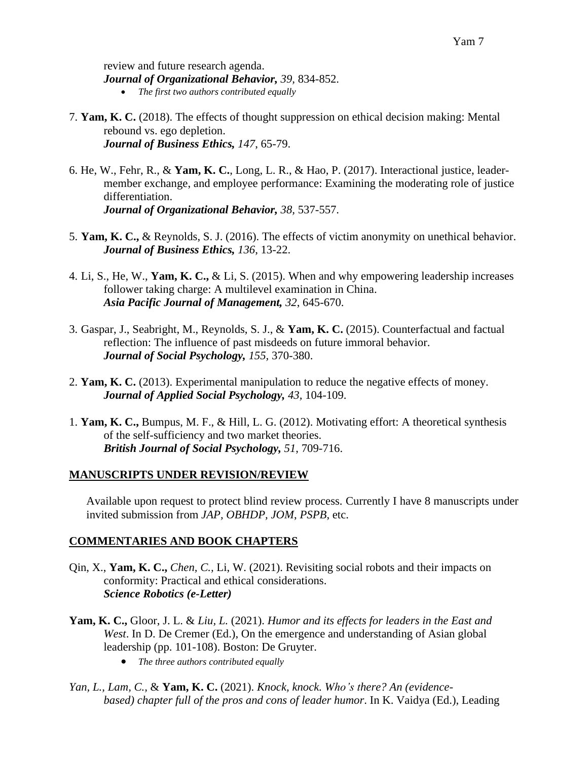review and future research agenda. *Journal of Organizational Behavior, 39,* 834-852. • *The first two authors contributed equally*

- 7. **Yam, K. C.** (2018). The effects of thought suppression on ethical decision making: Mental rebound vs. ego depletion. *Journal of Business Ethics, 147*, 65-79.
- 6. He, W., Fehr, R., & **Yam, K. C.**, Long, L. R., & Hao, P. (2017). Interactional justice, leadermember exchange, and employee performance: Examining the moderating role of justice differentiation. *Journal of Organizational Behavior, 38,* 537-557.
- 5. **Yam, K. C.,** & Reynolds, S. J. (2016). The effects of victim anonymity on unethical behavior. *Journal of Business Ethics, 136*, 13-22.
- 4. Li, S., He, W., **Yam, K. C.,** & Li, S. (2015). When and why empowering leadership increases follower taking charge: A multilevel examination in China. *Asia Pacific Journal of Management, 32*, 645-670.
- 3. Gaspar, J., Seabright, M., Reynolds, S. J., & **Yam, K. C.** (2015). Counterfactual and factual reflection: The influence of past misdeeds on future immoral behavior. *Journal of Social Psychology, 155,* 370-380.
- 2. **Yam, K. C.** (2013). Experimental manipulation to reduce the negative effects of money. *Journal of Applied Social Psychology, 43,* 104-109.
- 1. **Yam, K. C.,** Bumpus, M. F., & Hill, L. G. (2012). Motivating effort: A theoretical synthesis of the self-sufficiency and two market theories. *British Journal of Social Psychology, 51*, 709-716.

# **MANUSCRIPTS UNDER REVISION/REVIEW**

Available upon request to protect blind review process. Currently I have 8 manuscripts under invited submission from *JAP, OBHDP, JOM*, *PSPB*, etc.

# **COMMENTARIES AND BOOK CHAPTERS**

- Qin, X., **Yam, K. C.,** *Chen, C.,* Li, W. (2021). Revisiting social robots and their impacts on conformity: Practical and ethical considerations. *Science Robotics (e-Letter)*
- **Yam, K. C.,** Gloor, J. L. & *Liu, L.* (2021). *Humor and its effects for leaders in the East and West*. In D. De Cremer (Ed.), On the emergence and understanding of Asian global leadership (pp. 101-108). Boston: De Gruyter.
	- *The three authors contributed equally*
- *Yan, L., Lam, C.,* & **Yam, K. C.** (2021). *Knock, knock. Who's there? An (evidencebased) chapter full of the pros and cons of leader humor*. In K. Vaidya (Ed.), Leading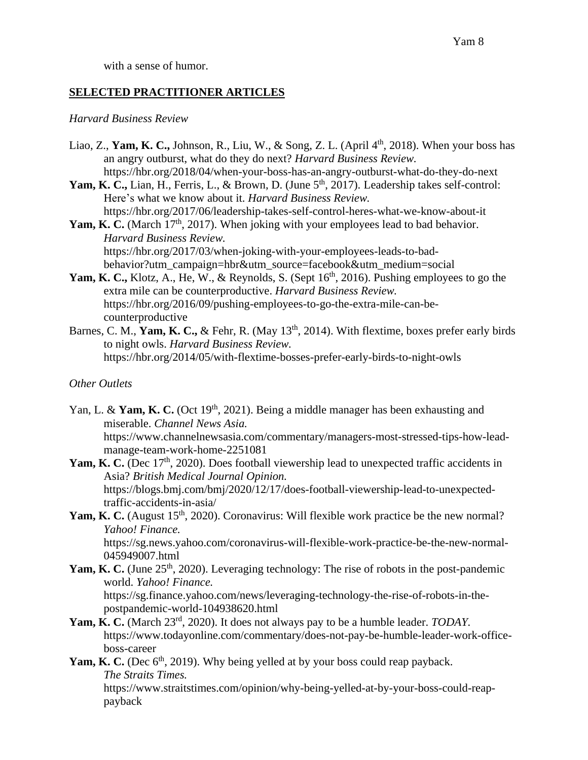with a sense of humor.

### **SELECTED PRACTITIONER ARTICLES**

#### *Harvard Business Review*

- Liao, Z., Yam, K. C., Johnson, R., Liu, W., & Song, Z. L. (April 4<sup>th</sup>, 2018). When your boss has an angry outburst, what do they do next? *Harvard Business Review.* https://hbr.org/2018/04/when-your-boss-has-an-angry-outburst-what-do-they-do-next
- Yam, K. C., Lian, H., Ferris, L., & Brown, D. (June 5<sup>th</sup>, 2017). Leadership takes self-control: Here's what we know about it. *Harvard Business Review.* https://hbr.org/2017/06/leadership-takes-self-control-heres-what-we-know-about-it
- Yam, K. C. (March 17<sup>th</sup>, 2017). When joking with your employees lead to bad behavior. *Harvard Business Review.* https://hbr.org/2017/03/when-joking-with-your-employees-leads-to-badbehavior?utm\_campaign=hbr&utm\_source=facebook&utm\_medium=social
- Yam, K. C., Klotz, A., He, W., & Reynolds, S. (Sept 16<sup>th</sup>, 2016). Pushing employees to go the extra mile can be counterproductive. *Harvard Business Review.* https://hbr.org/2016/09/pushing-employees-to-go-the-extra-mile-can-becounterproductive
- Barnes, C. M., Yam, K. C., & Fehr, R. (May 13<sup>th</sup>, 2014). With flextime, boxes prefer early birds to night owls. *Harvard Business Review.* https://hbr.org/2014/05/with-flextime-bosses-prefer-early-birds-to-night-owls

#### *Other Outlets*

- Yan, L. & Yam, K. C. (Oct 19<sup>th</sup>, 2021). Being a middle manager has been exhausting and miserable. *Channel News Asia.* https://www.channelnewsasia.com/commentary/managers-most-stressed-tips-how-leadmanage-team-work-home-2251081
- Yam, K. C. (Dec 17<sup>th</sup>, 2020). Does football viewership lead to unexpected traffic accidents in Asia? *British Medical Journal Opinion.* https://blogs.bmj.com/bmj/2020/12/17/does-football-viewership-lead-to-unexpectedtraffic-accidents-in-asia/
- Yam, K. C. (August 15<sup>th</sup>, 2020). Coronavirus: Will flexible work practice be the new normal? *Yahoo! Finance.*  https://sg.news.yahoo.com/coronavirus-will-flexible-work-practice-be-the-new-normal-

045949007.html

Yam, K. C. (June 25<sup>th</sup>, 2020). Leveraging technology: The rise of robots in the post-pandemic world. *Yahoo! Finance.* https://sg.finance.yahoo.com/news/leveraging-technology-the-rise-of-robots-in-the-

postpandemic-world-104938620.html

- Yam, K. C. (March 23<sup>rd</sup>, 2020). It does not always pay to be a humble leader. *TODAY*. https://www.todayonline.com/commentary/does-not-pay-be-humble-leader-work-officeboss-career
- Yam, K. C. (Dec 6<sup>th</sup>, 2019). Why being yelled at by your boss could reap payback. *The Straits Times.* https://www.straitstimes.com/opinion/why-being-yelled-at-by-your-boss-could-reappayback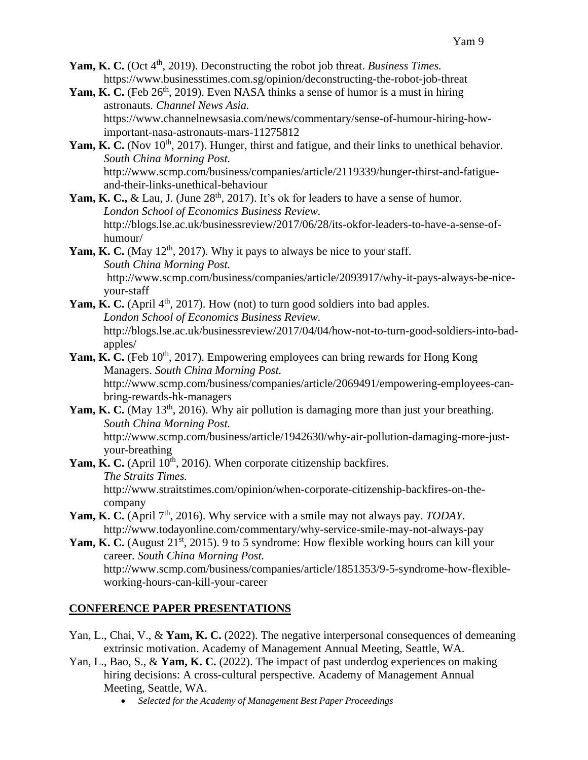- Yam, K. C. (Oct 4<sup>th</sup>, 2019). Deconstructing the robot job threat. *Business Times*. https://www.businesstimes.com.sg/opinion/deconstructing-the-robot-job-threat
- Yam, K. C. (Feb 26<sup>th</sup>, 2019). Even NASA thinks a sense of humor is a must in hiring astronauts*. Channel News Asia.* https://www.channelnewsasia.com/news/commentary/sense-of-humour-hiring-howimportant-nasa-astronauts-mars-11275812
- Yam, K. C. (Nov 10<sup>th</sup>, 2017). Hunger, thirst and fatigue, and their links to unethical behavior. *South China Morning Post.* http://www.scmp.com/business/companies/article/2119339/hunger-thirst-and-fatigueand-their-links-unethical-behaviour
- Yam, K. C., & Lau, J. (June 28<sup>th</sup>, 2017). It's ok for leaders to have a sense of humor. *London School of Economics Business Review.* http://blogs.lse.ac.uk/businessreview/2017/06/28/its-okfor-leaders-to-have-a-sense-ofhumour/
- **Yam, K. C.** (May  $12<sup>th</sup>$ , 2017). Why it pays to always be nice to your staff. *South China Morning Post.* http://www.scmp.com/business/companies/article/2093917/why-it-pays-always-be-niceyour-staff
- **Yam, K. C.** (April  $4<sup>th</sup>$ , 2017). How (not) to turn good soldiers into bad apples. *London School of Economics Business Review.* http://blogs.lse.ac.uk/businessreview/2017/04/04/how-not-to-turn-good-soldiers-into-badapples/
- **Yam, K. C.** (Feb 10<sup>th</sup>, 2017). Empowering employees can bring rewards for Hong Kong Managers. *South China Morning Post.*

http://www.scmp.com/business/companies/article/2069491/empowering-employees-canbring-rewards-hk-managers

- Yam, K. C. (May 13<sup>th</sup>, 2016). Why air pollution is damaging more than just your breathing. *South China Morning Post.* http://www.scmp.com/business/article/1942630/why-air-pollution-damaging-more-justyour-breathing
- **Yam, K. C.** (April 10<sup>th</sup>, 2016). When corporate citizenship backfires. *The Straits Times.* http://www.straitstimes.com/opinion/when-corporate-citizenship-backfires-on-thecompany
- **Yam, K. C.** (April 7<sup>th</sup>, 2016). Why service with a smile may not always pay. *TODAY*. http://www.todayonline.com/commentary/why-service-smile-may-not-always-pay
- Yam, K. C. (August 21<sup>st</sup>, 2015). 9 to 5 syndrome: How flexible working hours can kill your career. *South China Morning Post.* http://www.scmp.com/business/companies/article/1851353/9-5-syndrome-how-flexibleworking-hours-can-kill-your-career

# **CONFERENCE PAPER PRESENTATIONS**

- Yan, L., Chai, V., & **Yam, K. C.** (2022). The negative interpersonal consequences of demeaning extrinsic motivation. Academy of Management Annual Meeting, Seattle, WA.
- Yan, L., Bao, S., & **Yam, K. C.** (2022). The impact of past underdog experiences on making hiring decisions: A cross-cultural perspective. Academy of Management Annual Meeting, Seattle, WA.
	- *Selected for the Academy of Management Best Paper Proceedings*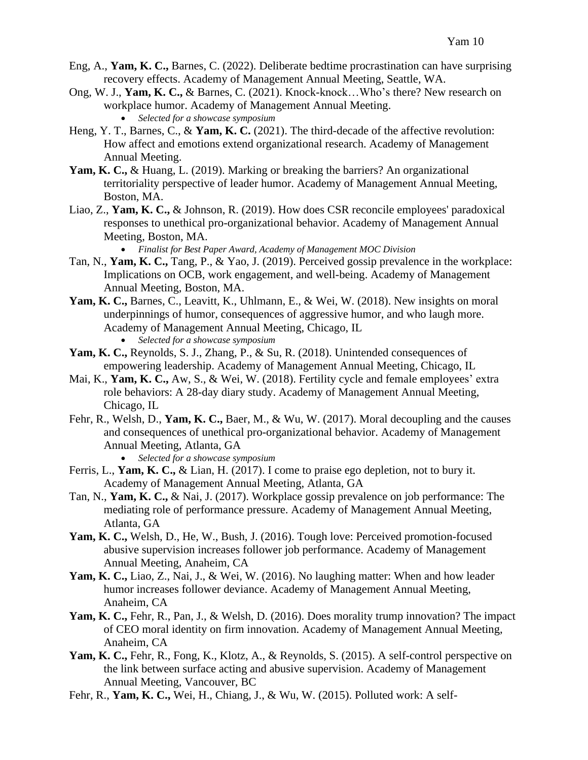- Eng, A., **Yam, K. C.,** Barnes, C. (2022). Deliberate bedtime procrastination can have surprising recovery effects. Academy of Management Annual Meeting, Seattle, WA.
- Ong, W. J., **Yam, K. C.,** & Barnes, C. (2021). Knock-knock…Who's there? New research on workplace humor. Academy of Management Annual Meeting.
	- *Selected for a showcase symposium*
- Heng, Y. T., Barnes, C., & **Yam, K. C.** (2021). The third-decade of the affective revolution: How affect and emotions extend organizational research. Academy of Management Annual Meeting.
- **Yam, K. C.,** & Huang, L. (2019). Marking or breaking the barriers? An organizational territoriality perspective of leader humor. Academy of Management Annual Meeting, Boston, MA.
- Liao, Z., **Yam, K. C.,** & Johnson, R. (2019). How does CSR reconcile employees' paradoxical responses to unethical pro-organizational behavior. Academy of Management Annual Meeting, Boston, MA.

• *Finalist for Best Paper Award, Academy of Management MOC Division*

- Tan, N., **Yam, K. C.,** Tang, P., & Yao, J. (2019). Perceived gossip prevalence in the workplace: Implications on OCB, work engagement, and well-being. Academy of Management Annual Meeting, Boston, MA.
- **Yam, K. C.,** Barnes, C., Leavitt, K., Uhlmann, E., & Wei, W. (2018). New insights on moral underpinnings of humor, consequences of aggressive humor, and who laugh more. Academy of Management Annual Meeting, Chicago, IL
	- *Selected for a showcase symposium*
- **Yam, K. C.,** Reynolds, S. J., Zhang, P., & Su, R. (2018). Unintended consequences of empowering leadership. Academy of Management Annual Meeting, Chicago, IL
- Mai, K., **Yam, K. C.,** Aw, S., & Wei, W. (2018). Fertility cycle and female employees' extra role behaviors: A 28-day diary study. Academy of Management Annual Meeting, Chicago, IL
- Fehr, R., Welsh, D., **Yam, K. C.,** Baer, M., & Wu, W. (2017). Moral decoupling and the causes and consequences of unethical pro-organizational behavior. Academy of Management Annual Meeting, Atlanta, GA

• *Selected for a showcase symposium*

- Ferris, L., **Yam, K. C.,** & Lian, H. (2017). I come to praise ego depletion, not to bury it. Academy of Management Annual Meeting, Atlanta, GA
- Tan, N., **Yam, K. C.,** & Nai, J. (2017). Workplace gossip prevalence on job performance: The mediating role of performance pressure. Academy of Management Annual Meeting, Atlanta, GA
- **Yam, K. C.,** Welsh, D., He, W., Bush, J. (2016). Tough love: Perceived promotion-focused abusive supervision increases follower job performance. Academy of Management Annual Meeting, Anaheim, CA
- **Yam, K. C.,** Liao, Z., Nai, J., & Wei, W. (2016). No laughing matter: When and how leader humor increases follower deviance. Academy of Management Annual Meeting, Anaheim, CA
- **Yam, K. C.,** Fehr, R., Pan, J., & Welsh, D. (2016). Does morality trump innovation? The impact of CEO moral identity on firm innovation. Academy of Management Annual Meeting, Anaheim, CA
- **Yam, K. C.,** Fehr, R., Fong, K., Klotz, A., & Reynolds, S. (2015). A self-control perspective on the link between surface acting and abusive supervision. Academy of Management Annual Meeting, Vancouver, BC
- Fehr, R., **Yam, K. C.,** Wei, H., Chiang, J., & Wu, W. (2015). Polluted work: A self-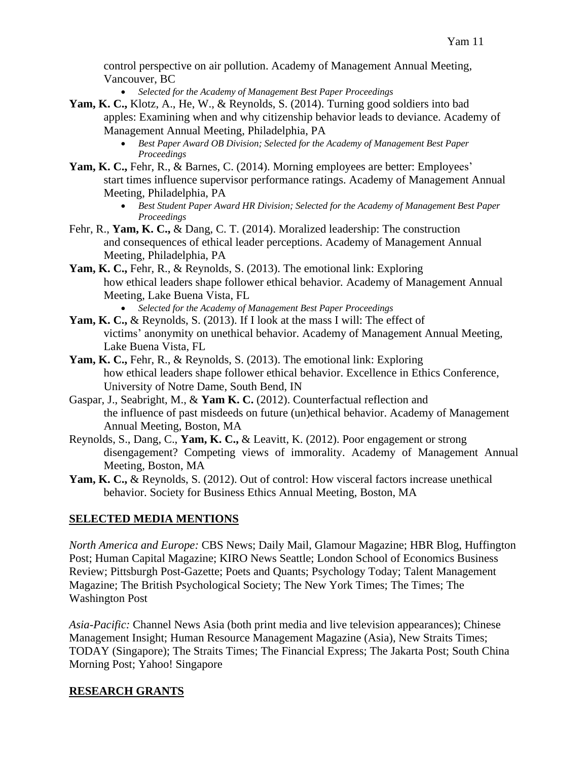control perspective on air pollution. Academy of Management Annual Meeting, Vancouver, BC

• *Selected for the Academy of Management Best Paper Proceedings*

- **Yam, K. C.,** Klotz, A., He, W., & Reynolds, S. (2014). Turning good soldiers into bad apples: Examining when and why citizenship behavior leads to deviance. Academy of Management Annual Meeting, Philadelphia, PA
	- *Best Paper Award OB Division; Selected for the Academy of Management Best Paper Proceedings*
- **Yam, K. C.,** Fehr, R., & Barnes, C. (2014). Morning employees are better: Employees' start times influence supervisor performance ratings. Academy of Management Annual Meeting, Philadelphia, PA
	- *Best Student Paper Award HR Division; Selected for the Academy of Management Best Paper Proceedings*
- Fehr, R., **Yam, K. C.,** & Dang, C. T. (2014). Moralized leadership: The construction and consequences of ethical leader perceptions. Academy of Management Annual Meeting, Philadelphia, PA
- **Yam, K. C.,** Fehr, R., & Reynolds, S. (2013). The emotional link: Exploring how ethical leaders shape follower ethical behavior*.* Academy of Management Annual Meeting, Lake Buena Vista, FL
	- *Selected for the Academy of Management Best Paper Proceedings*
- **Yam, K. C.,** & Reynolds, S. (2013). If I look at the mass I will: The effect of victims' anonymity on unethical behavior. Academy of Management Annual Meeting, Lake Buena Vista, FL
- **Yam, K. C.,** Fehr, R., & Reynolds, S. (2013). The emotional link: Exploring how ethical leaders shape follower ethical behavior. Excellence in Ethics Conference, University of Notre Dame, South Bend, IN
- Gaspar, J., Seabright, M., & **Yam K. C.** (2012). Counterfactual reflection and the influence of past misdeeds on future (un)ethical behavior. Academy of Management Annual Meeting, Boston, MA
- Reynolds, S., Dang, C., **Yam, K. C.,** & Leavitt, K. (2012). Poor engagement or strong disengagement? Competing views of immorality. Academy of Management Annual Meeting, Boston, MA
- **Yam, K. C.,** & Reynolds, S. (2012). Out of control: How visceral factors increase unethical behavior. Society for Business Ethics Annual Meeting, Boston, MA

# **SELECTED MEDIA MENTIONS**

*North America and Europe:* CBS News; Daily Mail, Glamour Magazine; HBR Blog, Huffington Post; Human Capital Magazine; KIRO News Seattle; London School of Economics Business Review; Pittsburgh Post-Gazette; Poets and Quants; Psychology Today; Talent Management Magazine; The British Psychological Society; The New York Times; The Times; The Washington Post

*Asia-Pacific:* Channel News Asia (both print media and live television appearances); Chinese Management Insight; Human Resource Management Magazine (Asia), New Straits Times; TODAY (Singapore); The Straits Times; The Financial Express; The Jakarta Post; South China Morning Post; Yahoo! Singapore

# **RESEARCH GRANTS**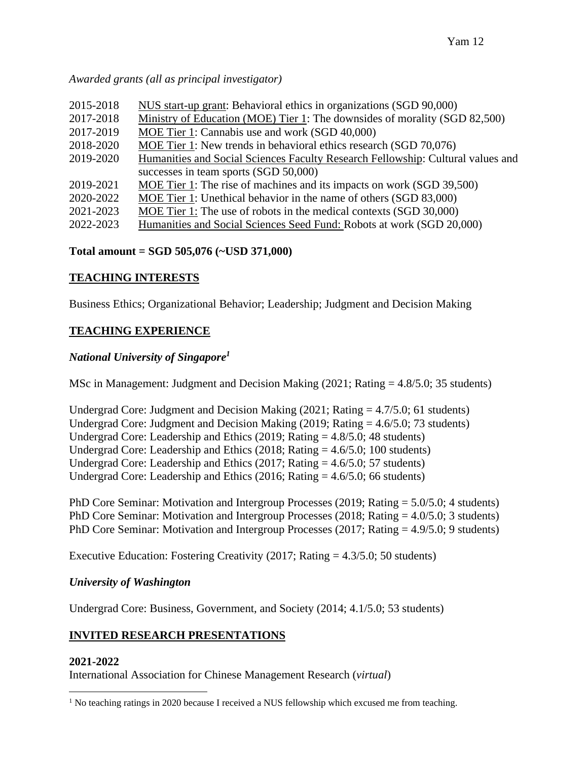*Awarded grants (all as principal investigator)*

| 2015-2018 | NUS start-up grant: Behavioral ethics in organizations (SGD 90,000)             |
|-----------|---------------------------------------------------------------------------------|
| 2017-2018 | Ministry of Education (MOE) Tier 1: The downsides of morality (SGD 82,500)      |
| 2017-2019 | MOE Tier 1: Cannabis use and work (SGD 40,000)                                  |
| 2018-2020 | MOE Tier 1: New trends in behavioral ethics research (SGD 70,076)               |
| 2019-2020 | Humanities and Social Sciences Faculty Research Fellowship: Cultural values and |
|           | successes in team sports (SGD 50,000)                                           |
| 2019-2021 | MOE Tier 1: The rise of machines and its impacts on work (SGD 39,500)           |
| 2020-2022 | MOE Tier 1: Unethical behavior in the name of others (SGD 83,000)               |
| 2021-2023 | MOE Tier 1: The use of robots in the medical contexts (SGD 30,000)              |
| 2022-2023 | Humanities and Social Sciences Seed Fund: Robots at work (SGD 20,000)           |

# **Total amount = SGD 505,076 (~USD 371,000)**

# **TEACHING INTERESTS**

Business Ethics; Organizational Behavior; Leadership; Judgment and Decision Making

# **TEACHING EXPERIENCE**

# *National University of Singapore<sup>1</sup>*

MSc in Management: Judgment and Decision Making (2021; Rating = 4.8/5.0; 35 students)

Undergrad Core: Judgment and Decision Making  $(2021; Rating = 4.7/5.0; 61$  students) Undergrad Core: Judgment and Decision Making  $(2019; \text{Rating} = 4.6/5.0; 73 \text{ students})$ Undergrad Core: Leadership and Ethics (2019; Rating  $= 4.8/5.0$ ; 48 students) Undergrad Core: Leadership and Ethics (2018; Rating  $= 4.6/5.0$ ; 100 students) Undergrad Core: Leadership and Ethics (2017; Rating = 4.6/5.0; 57 students) Undergrad Core: Leadership and Ethics (2016; Rating  $=$  4.6/5.0; 66 students)

PhD Core Seminar: Motivation and Intergroup Processes (2019; Rating = 5.0/5.0; 4 students) PhD Core Seminar: Motivation and Intergroup Processes (2018; Rating = 4.0/5.0; 3 students) PhD Core Seminar: Motivation and Intergroup Processes (2017; Rating = 4.9/5.0; 9 students)

Executive Education: Fostering Creativity  $(2017; \text{Rating} = 4.3/5.0; 50 \text{ students})$ 

# *University of Washington*

Undergrad Core: Business, Government, and Society (2014; 4.1/5.0; 53 students)

# **INVITED RESEARCH PRESENTATIONS**

# **2021-2022**

International Association for Chinese Management Research (*virtual*)

<sup>&</sup>lt;sup>1</sup> No teaching ratings in 2020 because I received a NUS fellowship which excused me from teaching.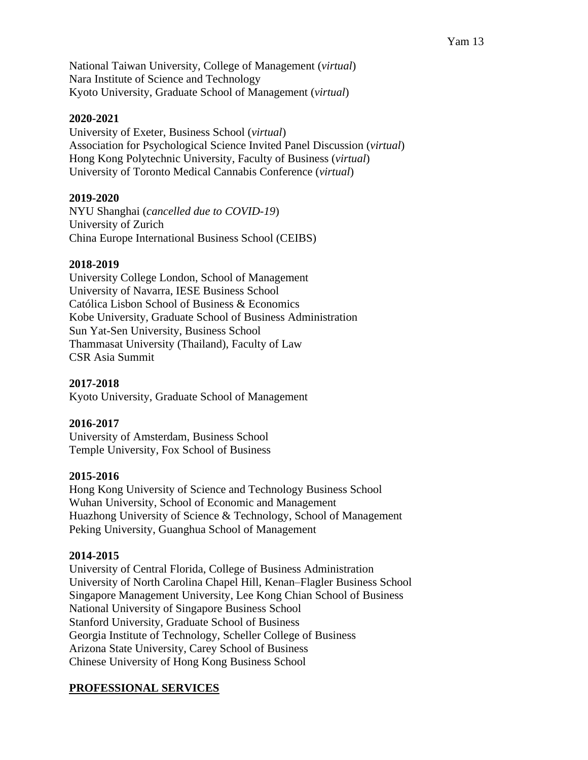National Taiwan University, College of Management (*virtual*) Nara Institute of Science and Technology Kyoto University, Graduate School of Management (*virtual*)

# **2020-2021**

University of Exeter, Business School (*virtual*) Association for Psychological Science Invited Panel Discussion (*virtual*) Hong Kong Polytechnic University, Faculty of Business (*virtual*) University of Toronto Medical Cannabis Conference (*virtual*)

# **2019-2020**

NYU Shanghai (*cancelled due to COVID-19*) University of Zurich China Europe International Business School (CEIBS)

# **2018-2019**

University College London, School of Management University of Navarra, IESE Business School Católica Lisbon School of Business & Economics Kobe University, Graduate School of Business Administration Sun Yat-Sen University, Business School Thammasat University (Thailand), Faculty of Law CSR Asia Summit

**2017-2018** Kyoto University, Graduate School of Management

# **2016-2017**

University of Amsterdam, Business School Temple University, Fox School of Business

#### **2015-2016**

Hong Kong University of Science and Technology Business School Wuhan University, School of Economic and Management Huazhong University of Science & Technology, School of Management Peking University, Guanghua School of Management

#### **2014-2015**

University of Central Florida, College of Business Administration University of North Carolina Chapel Hill, Kenan–Flagler Business School Singapore Management University, Lee Kong Chian School of Business National University of Singapore Business School Stanford University, Graduate School of Business Georgia Institute of Technology, Scheller College of Business Arizona State University, Carey School of Business Chinese University of Hong Kong Business School

# **PROFESSIONAL SERVICES**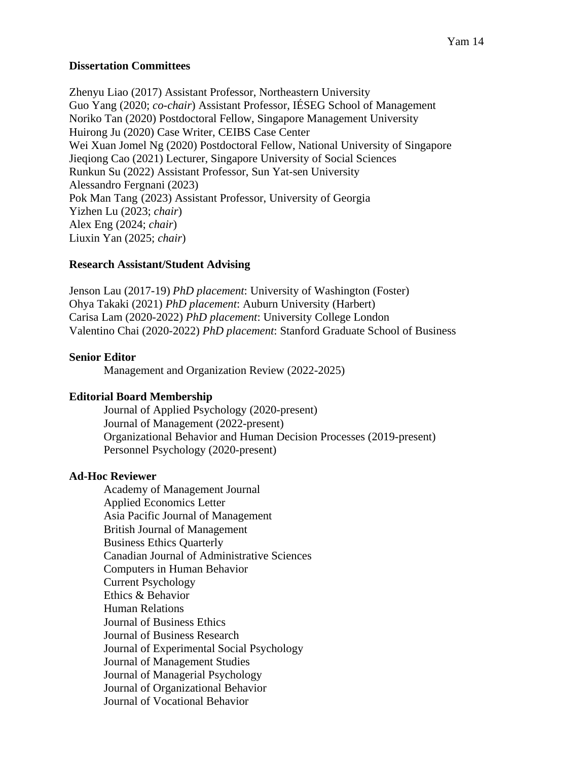### **Dissertation Committees**

Zhenyu Liao (2017) Assistant Professor, Northeastern University Guo Yang (2020; *co-chair*) Assistant Professor, IÉSEG School of Management Noriko Tan (2020) Postdoctoral Fellow, Singapore Management University Huirong Ju (2020) Case Writer, CEIBS Case Center Wei Xuan Jomel Ng (2020) Postdoctoral Fellow, National University of Singapore Jieqiong Cao (2021) Lecturer, Singapore University of Social Sciences Runkun Su (2022) Assistant Professor, Sun Yat-sen University Alessandro Fergnani (2023) Pok Man Tang (2023) Assistant Professor, University of Georgia Yizhen Lu (2023; *chair*) Alex Eng (2024; *chair*) Liuxin Yan (2025; *chair*)

### **Research Assistant/Student Advising**

Jenson Lau (2017-19) *PhD placement*: University of Washington (Foster) Ohya Takaki (2021) *PhD placement*: Auburn University (Harbert) Carisa Lam (2020-2022) *PhD placement*: University College London Valentino Chai (2020-2022) *PhD placement*: Stanford Graduate School of Business

# **Senior Editor**

Management and Organization Review (2022-2025)

# **Editorial Board Membership**

Journal of Applied Psychology (2020-present) Journal of Management (2022-present) Organizational Behavior and Human Decision Processes (2019-present) Personnel Psychology (2020-present)

#### **Ad-Hoc Reviewer**

Academy of Management Journal Applied Economics Letter Asia Pacific Journal of Management British Journal of Management Business Ethics Quarterly Canadian Journal of Administrative Sciences Computers in Human Behavior Current Psychology Ethics & Behavior Human Relations Journal of Business Ethics Journal of Business Research Journal of Experimental Social Psychology Journal of Management Studies Journal of Managerial Psychology Journal of Organizational Behavior Journal of Vocational Behavior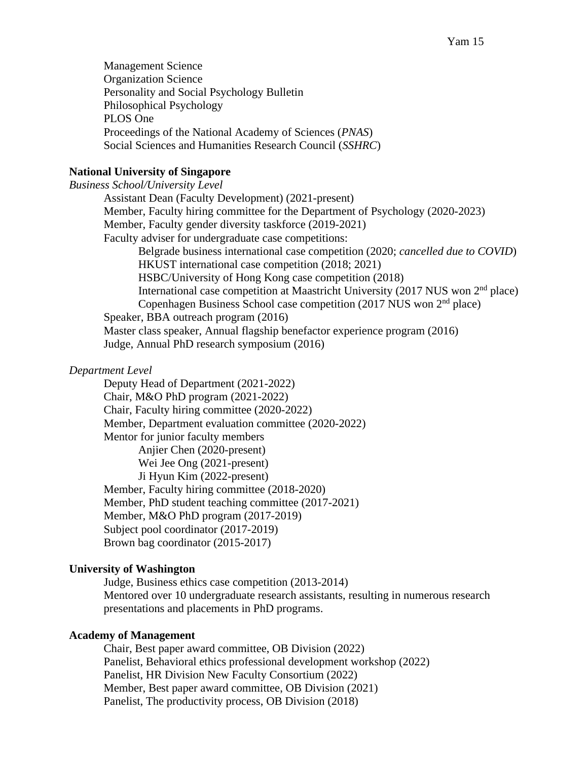Management Science Organization Science Personality and Social Psychology Bulletin Philosophical Psychology PLOS One Proceedings of the National Academy of Sciences (*PNAS*) Social Sciences and Humanities Research Council (*SSHRC*)

#### **National University of Singapore**

*Business School/University Level* Assistant Dean (Faculty Development) (2021-present) Member, Faculty hiring committee for the Department of Psychology (2020-2023) Member, Faculty gender diversity taskforce (2019-2021) Faculty adviser for undergraduate case competitions: Belgrade business international case competition (2020; *cancelled due to COVID*) HKUST international case competition (2018; 2021) HSBC/University of Hong Kong case competition (2018) International case competition at Maastricht University (2017 NUS won  $2<sup>nd</sup>$  place) Copenhagen Business School case competition (2017 NUS won 2<sup>nd</sup> place) Speaker, BBA outreach program (2016) Master class speaker, Annual flagship benefactor experience program (2016) Judge, Annual PhD research symposium (2016)

#### *Department Level*

Deputy Head of Department (2021-2022) Chair, M&O PhD program (2021-2022) Chair, Faculty hiring committee (2020-2022) Member, Department evaluation committee (2020-2022) Mentor for junior faculty members Anjier Chen (2020-present) Wei Jee Ong (2021-present) Ji Hyun Kim (2022-present) Member, Faculty hiring committee (2018-2020) Member, PhD student teaching committee (2017-2021) Member, M&O PhD program (2017-2019) Subject pool coordinator (2017-2019) Brown bag coordinator (2015-2017)

#### **University of Washington**

Judge, Business ethics case competition (2013-2014) Mentored over 10 undergraduate research assistants, resulting in numerous research presentations and placements in PhD programs.

#### **Academy of Management**

Chair, Best paper award committee, OB Division (2022) Panelist, Behavioral ethics professional development workshop (2022) Panelist, HR Division New Faculty Consortium (2022) Member, Best paper award committee, OB Division (2021) Panelist, The productivity process, OB Division (2018)